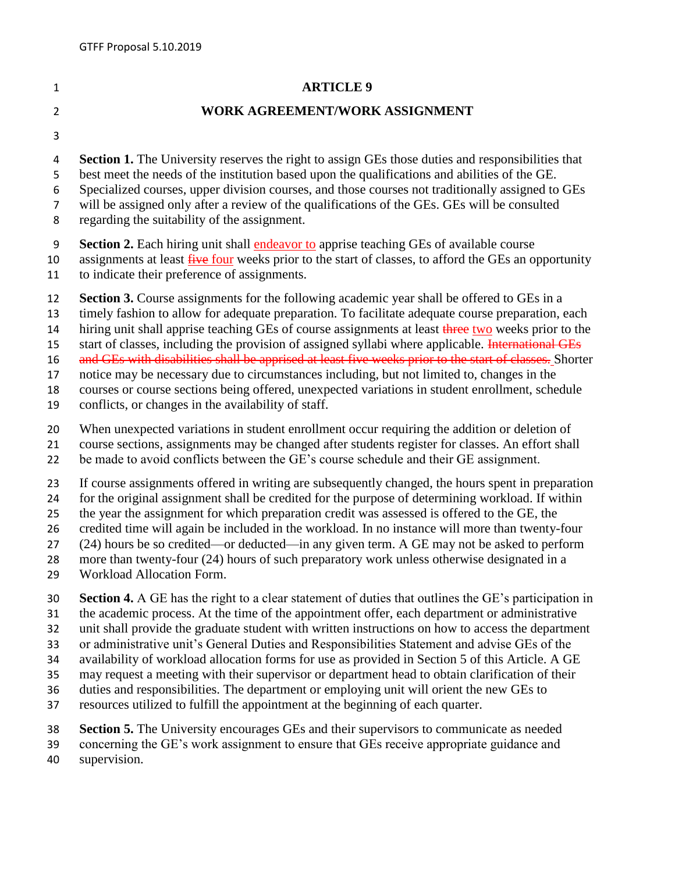## **ARTICLE 9**

## **WORK AGREEMENT/WORK ASSIGNMENT**

- 
- **Section 1.** The University reserves the right to assign GEs those duties and responsibilities that
- best meet the needs of the institution based upon the qualifications and abilities of the GE.
- Specialized courses, upper division courses, and those courses not traditionally assigned to GEs
- will be assigned only after a review of the qualifications of the GEs. GEs will be consulted
- regarding the suitability of the assignment.
- **Section 2.** Each hiring unit shall endeavor to apprise teaching GEs of available course
- 10 assignments at least five four weeks prior to the start of classes, to afford the GEs an opportunity
- to indicate their preference of assignments.
- **Section 3.** Course assignments for the following academic year shall be offered to GEs in a
- timely fashion to allow for adequate preparation. To facilitate adequate course preparation, each
- 14 hiring unit shall apprise teaching GEs of course assignments at least three two weeks prior to the
- 15 start of classes, including the provision of assigned syllabi where applicable. International GEs
- 16 and GEs with disabilities shall be apprised at least five weeks prior to the start of classes. Shorter
- notice may be necessary due to circumstances including, but not limited to, changes in the
- courses or course sections being offered, unexpected variations in student enrollment, schedule
- conflicts, or changes in the availability of staff.
- When unexpected variations in student enrollment occur requiring the addition or deletion of
- course sections, assignments may be changed after students register for classes. An effort shall
- be made to avoid conflicts between the GE's course schedule and their GE assignment.
- If course assignments offered in writing are subsequently changed, the hours spent in preparation
- for the original assignment shall be credited for the purpose of determining workload. If within
- the year the assignment for which preparation credit was assessed is offered to the GE, the
- credited time will again be included in the workload. In no instance will more than twenty-four
- (24) hours be so credited—or deducted—in any given term. A GE may not be asked to perform
- more than twenty-four (24) hours of such preparatory work unless otherwise designated in a
- Workload Allocation Form.
- **Section 4.** A GE has the right to a clear statement of duties that outlines the GE's participation in
- the academic process. At the time of the appointment offer, each department or administrative
- unit shall provide the graduate student with written instructions on how to access the department
- or administrative unit's General Duties and Responsibilities Statement and advise GEs of the
- availability of workload allocation forms for use as provided in Section 5 of this Article. A GE
- may request a meeting with their supervisor or department head to obtain clarification of their
- duties and responsibilities. The department or employing unit will orient the new GEs to
- resources utilized to fulfill the appointment at the beginning of each quarter.
- **Section 5.** The University encourages GEs and their supervisors to communicate as needed
- concerning the GE's work assignment to ensure that GEs receive appropriate guidance and
- supervision.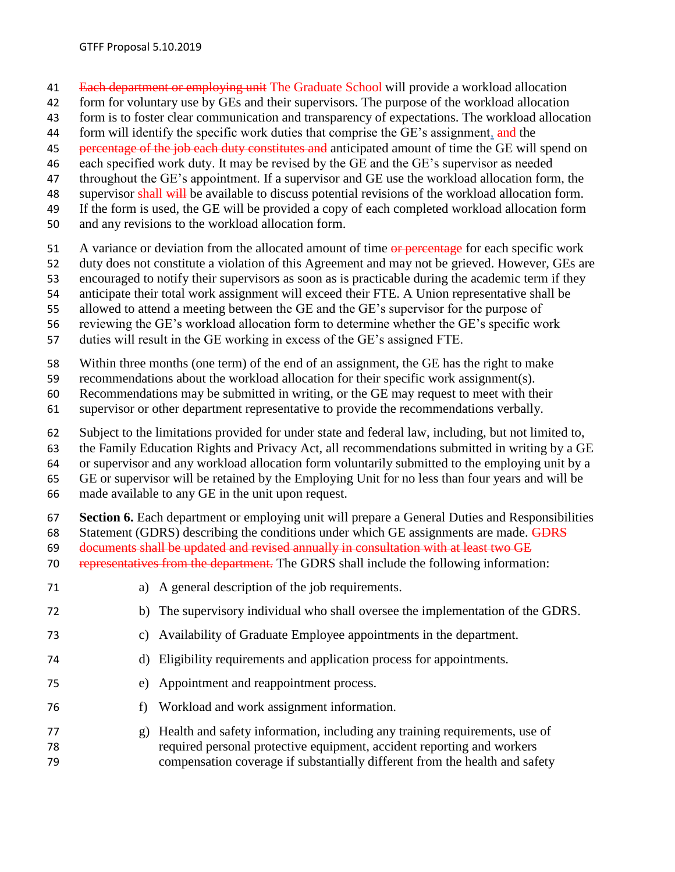- 41 Each department or employing unit The Graduate School will provide a workload allocation
- form for voluntary use by GEs and their supervisors. The purpose of the workload allocation
- form is to foster clear communication and transparency of expectations. The workload allocation
- 44 form will identify the specific work duties that comprise the GE's assignment, and the
- 45 percentage of the job each duty constitutes and anticipated amount of time the GE will spend on
- each specified work duty. It may be revised by the GE and the GE's supervisor as needed
- throughout the GE's appointment. If a supervisor and GE use the workload allocation form, the
- 48 supervisor shall will be available to discuss potential revisions of the workload allocation form.
- If the form is used, the GE will be provided a copy of each completed workload allocation form
- and any revisions to the workload allocation form.
- 51 A variance or deviation from the allocated amount of time or percentage for each specific work
- duty does not constitute a violation of this Agreement and may not be grieved. However, GEs are
- encouraged to notify their supervisors as soon as is practicable during the academic term if they
- anticipate their total work assignment will exceed their FTE. A Union representative shall be
- allowed to attend a meeting between the GE and the GE's supervisor for the purpose of
- reviewing the GE's workload allocation form to determine whether the GE's specific work
- duties will result in the GE working in excess of the GE's assigned FTE.
- Within three months (one term) of the end of an assignment, the GE has the right to make
- recommendations about the workload allocation for their specific work assignment(s).
- Recommendations may be submitted in writing, or the GE may request to meet with their
- supervisor or other department representative to provide the recommendations verbally.
- Subject to the limitations provided for under state and federal law, including, but not limited to,
- the Family Education Rights and Privacy Act, all recommendations submitted in writing by a GE
- or supervisor and any workload allocation form voluntarily submitted to the employing unit by a
- GE or supervisor will be retained by the Employing Unit for no less than four years and will be
- made available to any GE in the unit upon request.
- **Section 6.** Each department or employing unit will prepare a General Duties and Responsibilities
- 68 Statement (GDRS) describing the conditions under which GE assignments are made. GDRS
- documents shall be updated and revised annually in consultation with at least two GE
- representatives from the department. The GDRS shall include the following information:
- a) A general description of the job requirements.
- b) The supervisory individual who shall oversee the implementation of the GDRS.
- c) Availability of Graduate Employee appointments in the department.
- d) Eligibility requirements and application process for appointments.
- e) Appointment and reappointment process.
- f) Workload and work assignment information.
- g) Health and safety information, including any training requirements, use of required personal protective equipment, accident reporting and workers compensation coverage if substantially different from the health and safety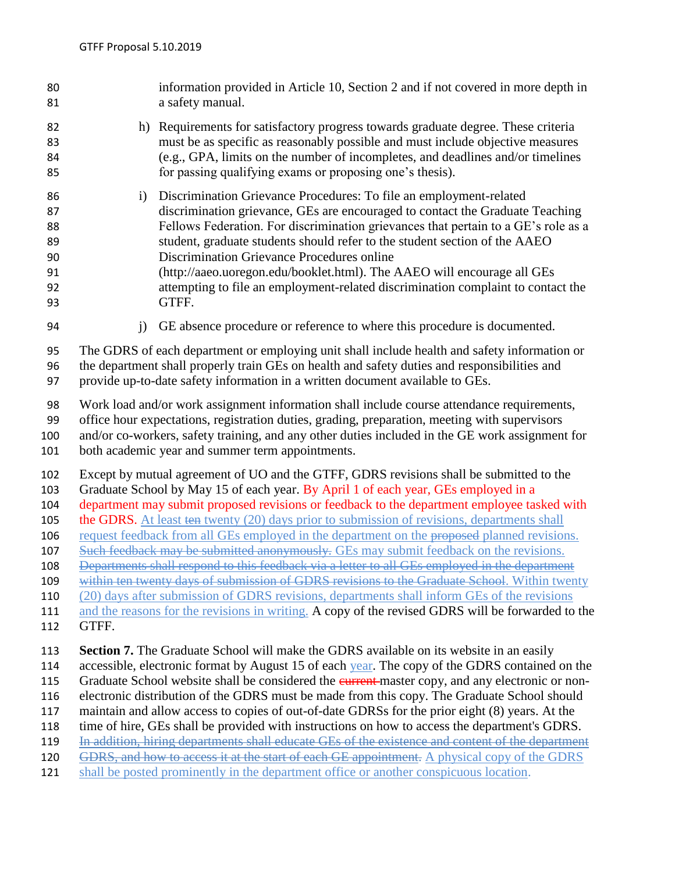information provided in Article 10, Section 2 and if not covered in more depth in a safety manual. h) Requirements for satisfactory progress towards graduate degree. These criteria must be as specific as reasonably possible and must include objective measures (e.g., GPA, limits on the number of incompletes, and deadlines and/or timelines for passing qualifying exams or proposing one's thesis). i) Discrimination Grievance Procedures: To file an employment-related discrimination grievance, GEs are encouraged to contact the Graduate Teaching Fellows Federation. For discrimination grievances that pertain to a GE's role as a student, graduate students should refer to the student section of the AAEO Discrimination Grievance Procedures online (http://aaeo.uoregon.edu/booklet.html). The AAEO will encourage all GEs attempting to file an employment-related discrimination complaint to contact the GTFF. j) GE absence procedure or reference to where this procedure is documented. The GDRS of each department or employing unit shall include health and safety information or the department shall properly train GEs on health and safety duties and responsibilities and provide up-to-date safety information in a written document available to GEs. Work load and/or work assignment information shall include course attendance requirements, office hour expectations, registration duties, grading, preparation, meeting with supervisors and/or co-workers, safety training, and any other duties included in the GE work assignment for both academic year and summer term appointments. Except by mutual agreement of UO and the GTFF, GDRS revisions shall be submitted to the Graduate School by May 15 of each year. By April 1 of each year, GEs employed in a department may submit proposed revisions or feedback to the department employee tasked with the GDRS. At least ten twenty (20) days prior to submission of revisions, departments shall 106 request feedback from all GEs employed in the department on the proposed planned revisions. 107 Such feedback may be submitted anonymously. GEs may submit feedback on the revisions. 108 Departments shall respond to this feedback via a letter to all GEs employed in the department 109 within ten twenty days of submission of GDRS revisions to the Graduate School. Within twenty (20) days after submission of GDRS revisions, departments shall inform GEs of the revisions and the reasons for the revisions in writing. A copy of the revised GDRS will be forwarded to the GTFF. **Section 7.** The Graduate School will make the GDRS available on its website in an easily 114 accessible, electronic format by August 15 of each year. The copy of the GDRS contained on the 115 Graduate School website shall be considered the *current*-master copy, and any electronic or non- electronic distribution of the GDRS must be made from this copy. The Graduate School should maintain and allow access to copies of out-of-date GDRSs for the prior eight (8) years. At the time of hire, GEs shall be provided with instructions on how to access the department's GDRS. 119 In addition, hiring departments shall educate GEs of the existence and content of the department 120 GDRS, and how to access it at the start of each GE appointment. A physical copy of the GDRS shall be posted prominently in the department office or another conspicuous location.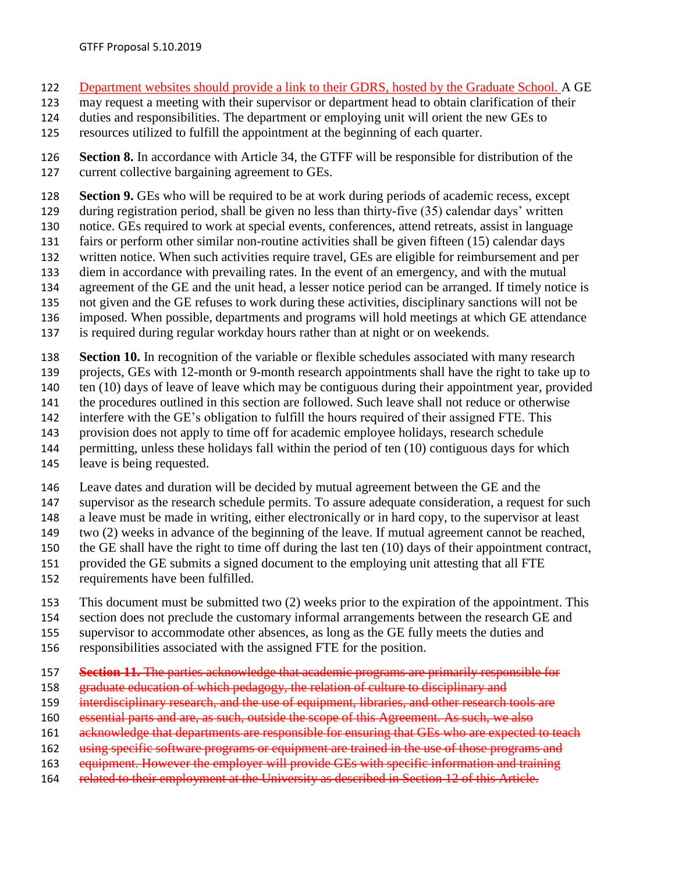- Department websites should provide a link to their GDRS, hosted by the Graduate School. A GE
- may request a meeting with their supervisor or department head to obtain clarification of their
- duties and responsibilities. The department or employing unit will orient the new GEs to
- resources utilized to fulfill the appointment at the beginning of each quarter.

 **Section 8.** In accordance with Article 34, the GTFF will be responsible for distribution of the current collective bargaining agreement to GEs.

**Section 9.** GEs who will be required to be at work during periods of academic recess, except

- during registration period, shall be given no less than thirty-five (35) calendar days' written
- notice. GEs required to work at special events, conferences, attend retreats, assist in language
- fairs or perform other similar non-routine activities shall be given fifteen (15) calendar days written notice. When such activities require travel, GEs are eligible for reimbursement and per
- diem in accordance with prevailing rates. In the event of an emergency, and with the mutual
- agreement of the GE and the unit head, a lesser notice period can be arranged. If timely notice is
- not given and the GE refuses to work during these activities, disciplinary sanctions will not be
- imposed. When possible, departments and programs will hold meetings at which GE attendance
- is required during regular workday hours rather than at night or on weekends.
- **Section 10.** In recognition of the variable or flexible schedules associated with many research
- projects, GEs with 12-month or 9-month research appointments shall have the right to take up to
- 140 ten (10) days of leave of leave which may be contiguous during their appointment year, provided
- the procedures outlined in this section are followed. Such leave shall not reduce or otherwise
- interfere with the GE's obligation to fulfill the hours required of their assigned FTE. This
- provision does not apply to time off for academic employee holidays, research schedule
- permitting, unless these holidays fall within the period of ten (10) contiguous days for which
- leave is being requested.
- Leave dates and duration will be decided by mutual agreement between the GE and the
- supervisor as the research schedule permits. To assure adequate consideration, a request for such
- a leave must be made in writing, either electronically or in hard copy, to the supervisor at least
- two (2) weeks in advance of the beginning of the leave. If mutual agreement cannot be reached,
- the GE shall have the right to time off during the last ten (10) days of their appointment contract,
- provided the GE submits a signed document to the employing unit attesting that all FTE
- requirements have been fulfilled.
- This document must be submitted two (2) weeks prior to the expiration of the appointment. This
- 154 section does not preclude the customary informal arrangements between the research GE and
- supervisor to accommodate other absences, as long as the GE fully meets the duties and
- responsibilities associated with the assigned FTE for the position.
- **Section 11.** The parties acknowledge that academic programs are primarily responsible for
- 158 graduate education of which pedagogy, the relation of culture to disciplinary and
- 159 interdisciplinary research, and the use of equipment, libraries, and other research tools are
- essential parts and are, as such, outside the scope of this Agreement. As such, we also
- 161 acknowledge that departments are responsible for ensuring that GEs who are expected to teach
- 162 using specific software programs or equipment are trained in the use of those programs and
- 163 equipment. However the employer will provide GEs with specific information and training
- 164 related to their employment at the University as described in Section 12 of this Article.